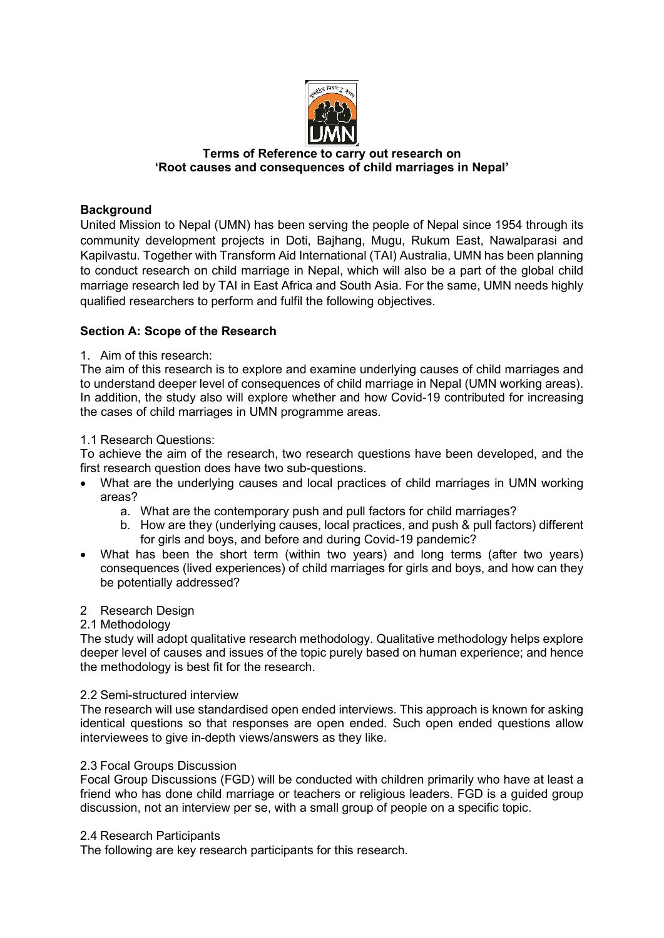

### **Terms of Reference to carry out research on 'Root causes and consequences of child marriages in Nepal'**

# **Background**

United Mission to Nepal (UMN) has been serving the people of Nepal since 1954 through its community development projects in Doti, Bajhang, Mugu, Rukum East, Nawalparasi and Kapilvastu. Together with Transform Aid International (TAI) Australia, UMN has been planning to conduct research on child marriage in Nepal, which will also be a part of the global child marriage research led by TAI in East Africa and South Asia. For the same, UMN needs highly qualified researchers to perform and fulfil the following objectives.

## **Section A: Scope of the Research**

### 1. Aim of this research:

The aim of this research is to explore and examine underlying causes of child marriages and to understand deeper level of consequences of child marriage in Nepal (UMN working areas). In addition, the study also will explore whether and how Covid-19 contributed for increasing the cases of child marriages in UMN programme areas.

### 1.1 Research Questions:

To achieve the aim of the research, two research questions have been developed, and the first research question does have two sub-questions.

- What are the underlying causes and local practices of child marriages in UMN working areas?
	- a. What are the contemporary push and pull factors for child marriages?
	- b. How are they (underlying causes, local practices, and push & pull factors) different for girls and boys, and before and during Covid-19 pandemic?
- What has been the short term (within two years) and long terms (after two years) consequences (lived experiences) of child marriages for girls and boys, and how can they be potentially addressed?

### 2 Research Design

### 2.1 Methodology

The study will adopt qualitative research methodology. Qualitative methodology helps explore deeper level of causes and issues of the topic purely based on human experience; and hence the methodology is best fit for the research.

### 2.2 Semi-structured interview

The research will use standardised open ended interviews. This approach is known for asking identical questions so that responses are open ended. Such open ended questions allow interviewees to give in-depth views/answers as they like.

### 2.3 Focal Groups Discussion

Focal Group Discussions (FGD) will be conducted with children primarily who have at least a friend who has done child marriage or teachers or religious leaders. FGD is a guided group discussion, not an interview per se, with a small group of people on a specific topic.

### 2.4 Research Participants

The following are key research participants for this research.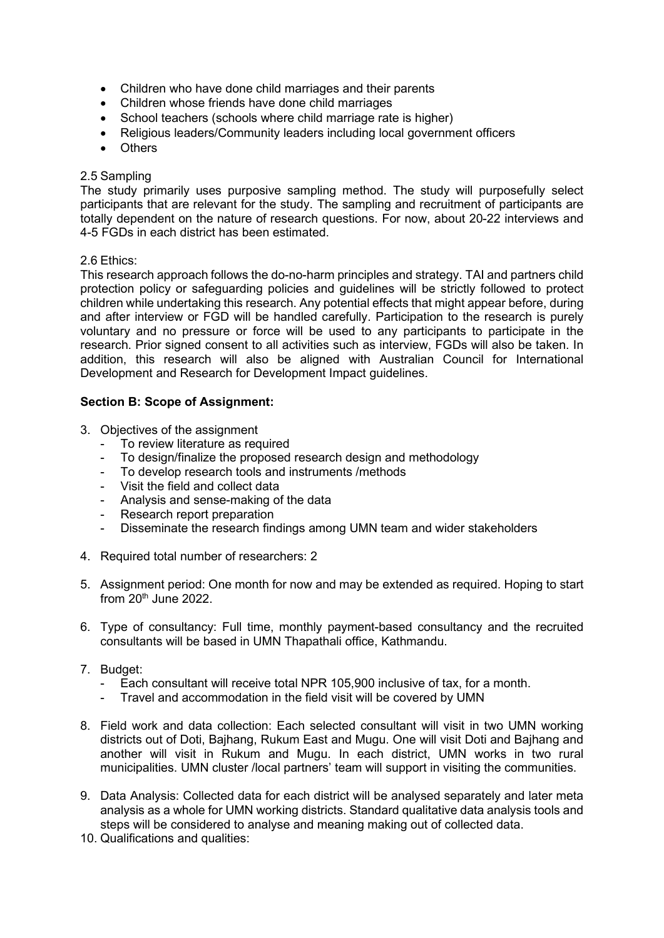- Children who have done child marriages and their parents
- Children whose friends have done child marriages
- School teachers (schools where child marriage rate is higher)
- Religious leaders/Community leaders including local government officers
- Others

### 2.5 Sampling

The study primarily uses purposive sampling method. The study will purposefully select participants that are relevant for the study. The sampling and recruitment of participants are totally dependent on the nature of research questions. For now, about 20-22 interviews and 4-5 FGDs in each district has been estimated.

#### 2.6 Ethics:

This research approach follows the do-no-harm principles and strategy. TAI and partners child protection policy or safeguarding policies and guidelines will be strictly followed to protect children while undertaking this research. Any potential effects that might appear before, during and after interview or FGD will be handled carefully. Participation to the research is purely voluntary and no pressure or force will be used to any participants to participate in the research. Prior signed consent to all activities such as interview, FGDs will also be taken. In addition, this research will also be aligned with Australian Council for International Development and Research for Development Impact guidelines.

#### **Section B: Scope of Assignment:**

- 3. Objectives of the assignment
	- To review literature as required
	- To design/finalize the proposed research design and methodology
	- To develop research tools and instruments /methods
	- Visit the field and collect data
	- Analysis and sense-making of the data
	- Research report preparation
	- Disseminate the research findings among UMN team and wider stakeholders
- 4. Required total number of researchers: 2
- 5. Assignment period: One month for now and may be extended as required. Hoping to start from  $20<sup>th</sup>$  June 2022.
- 6. Type of consultancy: Full time, monthly payment-based consultancy and the recruited consultants will be based in UMN Thapathali office, Kathmandu.
- 7. Budget:
	- Each consultant will receive total NPR 105,900 inclusive of tax, for a month.
	- Travel and accommodation in the field visit will be covered by UMN
- 8. Field work and data collection: Each selected consultant will visit in two UMN working districts out of Doti, Bajhang, Rukum East and Mugu. One will visit Doti and Bajhang and another will visit in Rukum and Mugu. In each district, UMN works in two rural municipalities. UMN cluster /local partners' team will support in visiting the communities.
- 9. Data Analysis: Collected data for each district will be analysed separately and later meta analysis as a whole for UMN working districts. Standard qualitative data analysis tools and steps will be considered to analyse and meaning making out of collected data.
- 10. Qualifications and qualities: